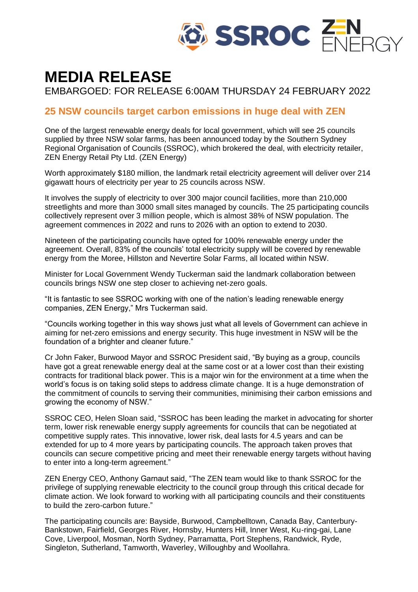

# **MEDIA RELEASE**

EMBARGOED: FOR RELEASE 6:00AM THURSDAY 24 FEBRUARY 2022

## **25 NSW councils target carbon emissions in huge deal with ZEN**

One of the largest renewable energy deals for local government, which will see 25 councils supplied by three NSW solar farms, has been announced today by the Southern Sydney Regional Organisation of Councils (SSROC), which brokered the deal, with electricity retailer, ZEN Energy Retail Pty Ltd. (ZEN Energy)

Worth approximately \$180 million, the landmark retail electricity agreement will deliver over 214 gigawatt hours of electricity per year to 25 councils across NSW.

It involves the supply of electricity to over 300 major council facilities, more than 210,000 streetlights and more than 3000 small sites managed by councils. The 25 participating councils collectively represent over 3 million people, which is almost 38% of NSW population. The agreement commences in 2022 and runs to 2026 with an option to extend to 2030.

Nineteen of the participating councils have opted for 100% renewable energy under the agreement. Overall, 83% of the councils' total electricity supply will be covered by renewable energy from the Moree, Hillston and Nevertire Solar Farms, all located within NSW.

Minister for Local Government Wendy Tuckerman said the landmark collaboration between councils brings NSW one step closer to achieving net-zero goals.

"It is fantastic to see SSROC working with one of the nation's leading renewable energy companies, ZEN Energy," Mrs Tuckerman said.

"Councils working together in this way shows just what all levels of Government can achieve in aiming for net-zero emissions and energy security. This huge investment in NSW will be the foundation of a brighter and cleaner future."

Cr John Faker, Burwood Mayor and SSROC President said, "By buying as a group, councils have got a great renewable energy deal at the same cost or at a lower cost than their existing contracts for traditional black power. This is a major win for the environment at a time when the world's focus is on taking solid steps to address climate change. It is a huge demonstration of the commitment of councils to serving their communities, minimising their carbon emissions and growing the economy of NSW."

SSROC CEO, Helen Sloan said, "SSROC has been leading the market in advocating for shorter term, lower risk renewable energy supply agreements for councils that can be negotiated at competitive supply rates. This innovative, lower risk, deal lasts for 4.5 years and can be extended for up to 4 more years by participating councils. The approach taken proves that councils can secure competitive pricing and meet their renewable energy targets without having to enter into a long-term agreement."

ZEN Energy CEO, Anthony Garnaut said, "The ZEN team would like to thank SSROC for the privilege of supplying renewable electricity to the council group through this critical decade for climate action. We look forward to working with all participating councils and their constituents to build the zero-carbon future."

The participating councils are: Bayside, Burwood, Campbelltown, Canada Bay, Canterbury-Bankstown, Fairfield, Georges River, Hornsby, Hunters Hill, Inner West, Ku-ring-gai, Lane Cove, Liverpool, Mosman, North Sydney, Parramatta, Port Stephens, Randwick, Ryde, Singleton, Sutherland, Tamworth, Waverley, Willoughby and Woollahra.